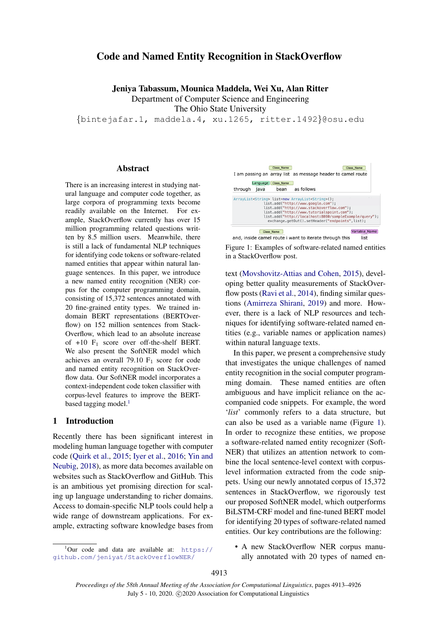# <span id="page-0-1"></span>Code and Named Entity Recognition in StackOverflow

Jeniya Tabassum, Mounica Maddela, Wei Xu, Alan Ritter

Department of Computer Science and Engineering

The Ohio State University

{bintejafar.1, maddela.4, xu.1265, ritter.1492}@osu.edu

#### Abstract

There is an increasing interest in studying natural language and computer code together, as large corpora of programming texts become readily available on the Internet. For example, StackOverflow currently has over 15 million programming related questions written by 8.5 million users. Meanwhile, there is still a lack of fundamental NLP techniques for identifying code tokens or software-related named entities that appear within natural language sentences. In this paper, we introduce a new named entity recognition (NER) corpus for the computer programming domain, consisting of 15,372 sentences annotated with 20 fine-grained entity types. We trained indomain BERT representations (BERTOverflow) on 152 million sentences from Stack-Overflow, which lead to an absolute increase of  $+10$  F<sub>1</sub> score over off-the-shelf BERT. We also present the SoftNER model which achieves an overall 79.10  $F_1$  score for code and named entity recognition on StackOverflow data. Our SoftNER model incorporates a context-independent code token classifier with corpus-level features to improve the BERTbased tagging model. $<sup>1</sup>$ </sup>

### 1 Introduction

Recently there has been significant interest in modeling human language together with computer code [\(Quirk et al.,](#page-10-0) [2015;](#page-10-0) [Iyer et al.,](#page-9-0) [2016;](#page-9-0) [Yin and](#page-11-0) [Neubig,](#page-11-0) [2018\)](#page-11-0), as more data becomes available on websites such as StackOverflow and GitHub. This is an ambitious yet promising direction for scaling up language understanding to richer domains. Access to domain-specific NLP tools could help a wide range of downstream applications. For example, extracting software knowledge bases from

 $1$ Our code and data are available at: [https://](https://github.com/jeniyat/StackOverflowNER/)

[github.com/jeniyat/StackOverflowNER/](https://github.com/jeniyat/StackOverflowNER/)

<span id="page-0-0"></span>



text [\(Movshovitz-Attias and Cohen,](#page-10-1) [2015\)](#page-10-1), developing better quality measurements of StackOver-flow posts [\(Ravi et al.,](#page-10-2) [2014\)](#page-10-2), finding similar questions [\(Amirreza Shirani,](#page-9-1) [2019\)](#page-9-1) and more. However, there is a lack of NLP resources and techniques for identifying software-related named entities (e.g., variable names or application names) within natural language texts.

In this paper, we present a comprehensive study that investigates the unique challenges of named entity recognition in the social computer programming domain. These named entities are often ambiguous and have implicit reliance on the accompanied code snippets. For example, the word '*list*' commonly refers to a data structure, but can also be used as a variable name (Figure [1\)](#page-0-0). In order to recognize these entities, we propose a software-related named entity recognizer (Soft-NER) that utilizes an attention network to combine the local sentence-level context with corpuslevel information extracted from the code snippets. Using our newly annotated corpus of 15,372 sentences in StackOverflow, we rigorously test our proposed SoftNER model, which outperforms BiLSTM-CRF model and fine-tuned BERT model for identifying 20 types of software-related named entities. Our key contributions are the following:

• A new StackOverflow NER corpus manually annotated with 20 types of named en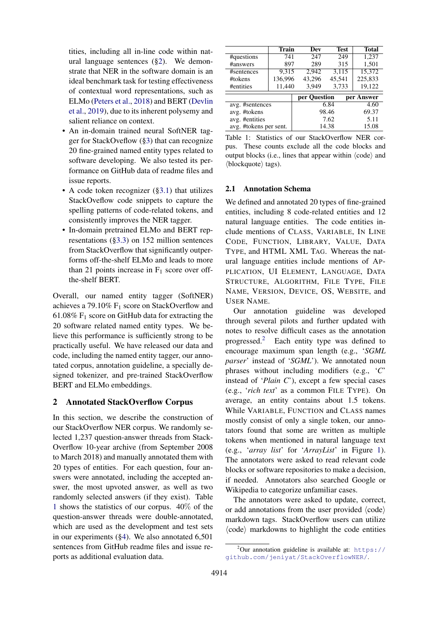tities, including all in-line code within natural language sentences ([§2\)](#page-1-0). We demonstrate that NER in the software domain is an ideal benchmark task for testing effectiveness of contextual word representations, such as ELMo [\(Peters et al.,](#page-10-3) [2018\)](#page-10-3) and BERT [\(Devlin](#page-9-2) [et al.,](#page-9-2) [2019\)](#page-9-2), due to its inherent polysemy and salient reliance on context.

- An in-domain trained neural SoftNER tagger for StackOveflow ([§3\)](#page-2-0) that can recognize 20 fine-grained named entity types related to software developing. We also tested its performance on GitHub data of readme files and issue reports.
- A code token recognizer ([§3.1\)](#page-3-0) that utilizes StackOveflow code snippets to capture the spelling patterns of code-related tokens, and consistently improves the NER tagger.
- In-domain pretrained ELMo and BERT representations ([§3.3\)](#page-4-0) on 152 million sentences from StackOverflow that significantly outperforms off-the-shelf ELMo and leads to more than 21 points increase in  $F_1$  score over offthe-shelf BERT.

Overall, our named entity tagger (SoftNER) achieves a 79.10% F<sup>1</sup> score on StackOverflow and 61.08%  $F_1$  score on GitHub data for extracting the 20 software related named entity types. We believe this performance is sufficiently strong to be practically useful. We have released our data and code, including the named entity tagger, our annotated corpus, annotation guideline, a specially designed tokenizer, and pre-trained StackOverflow BERT and ELMo embeddings.

## <span id="page-1-0"></span>2 Annotated StackOverflow Corpus

In this section, we describe the construction of our StackOverflow NER corpus. We randomly selected 1,237 question-answer threads from Stack-Overflow 10-year archive (from September 2008 to March 2018) and manually annotated them with 20 types of entities. For each question, four answers were annotated, including the accepted answer, the most upvoted answer, as well as two randomly selected answers (if they exist). Table [1](#page-1-1) shows the statistics of our corpus. 40% of the question-answer threads were double-annotated, which are used as the development and test sets in our experiments ([§4\)](#page-4-1). We also annotated 6,501 sentences from GitHub readme files and issue reports as additional evaluation data.

<span id="page-1-1"></span>

|                            | <b>Train</b> | Dev    | Test   | <b>Total</b> |  |
|----------------------------|--------------|--------|--------|--------------|--|
| #questions                 | 741          | 247    | 249    | 1,237        |  |
| #answers                   | 897          | 289    | 315    | 1,501        |  |
| #sentences                 | 9,315        | 2,942  | 3,115  | 15,372       |  |
| #tokens                    | 136,996      | 43,296 | 45,541 | 225,833      |  |
| #entities                  | 11,440       | 3,949  | 3,733  | 19,122       |  |
|                            |              |        |        |              |  |
| per Question<br>per Answer |              |        |        |              |  |
| avg. #sentences            |              |        | 6.84   | 4.60         |  |
| avg. #tokens               |              |        | 98.46  | 69.37        |  |
| avg. #entities             |              | 7.62   |        | 5.11         |  |
| avg. #tokens per sent.     |              |        | 14.38  | 15.08        |  |

Table 1: Statistics of our StackOverflow NER corpus. These counts exclude all the code blocks and output blocks (i.e., lines that appear within  $\langle \text{code} \rangle$  and  $\langle$ blockquote $\rangle$  tags).

### <span id="page-1-2"></span>2.1 Annotation Schema

We defined and annotated 20 types of fine-grained entities, including 8 code-related entities and 12 natural language entities. The code entities include mentions of CLASS, VARIABLE, IN LINE CODE, FUNCTION, LIBRARY, VALUE, DATA TYPE, and HTML XML TAG. Whereas the natural language entities include mentions of AP-PLICATION, UI ELEMENT, LANGUAGE, DATA STRUCTURE, ALGORITHM, FILE TYPE, FILE NAME, VERSION, DEVICE, OS, WEBSITE, and USER NAME.

Our annotation guideline was developed through several pilots and further updated with notes to resolve difficult cases as the annotation progressed.[2](#page-0-1) Each entity type was defined to encourage maximum span length (e.g., '*SGML parser*' instead of '*SGML*'). We annotated noun phrases without including modifiers (e.g., '*C*' instead of '*Plain C*'), except a few special cases (e.g., '*rich text*' as a common FILE TYPE). On average, an entity contains about 1.5 tokens. While VARIABLE, FUNCTION and CLASS names mostly consist of only a single token, our annotators found that some are written as multiple tokens when mentioned in natural language text (e.g., '*array list*' for '*ArrayList*' in Figure [1\)](#page-0-0). The annotators were asked to read relevant code blocks or software repositories to make a decision, if needed. Annotators also searched Google or Wikipedia to categorize unfamiliar cases.

The annotators were asked to update, correct, or add annotations from the user provided  $\langle \text{code} \rangle$ markdown tags. StackOverflow users can utilize  $\langle \text{code} \rangle$  markdowns to highlight the code entities

<sup>&</sup>lt;sup>2</sup>Our annotation guideline is available at: [https://](https://github.com/jeniyat/StackOverflowNER/) [github.com/jeniyat/StackOverflowNER/](https://github.com/jeniyat/StackOverflowNER/).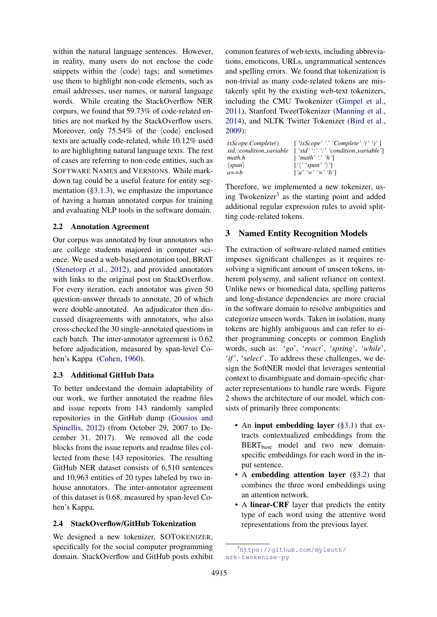within the natural language sentences. However, in reality, many users do not enclose the code snippets within the  $\langle \text{code} \rangle$  tags; and sometimes use them to highlight non-code elements, such as email addresses, user names, or natural language words. While creating the StackOverflow NER corpurs, we found that 59.73% of code-related entities are not marked by the StackOverflow users. Moreover, only  $75.54\%$  of the  $\langle \text{code} \rangle$  enclosed texts are actually code-related, while 10.12% used to are highlighting natural language texts. The rest of cases are referring to non-code entities, such as SOFTWARE NAMES and VERSIONS. While markdown tag could be a useful feature for entity segmentation  $(\S3.1.3)$ , we emphasize the importance of having a human annotated corpus for training and evaluating NLP tools in the software domain.

### 2.2 Annotation Agreement

Our corpus was annotated by four annotators who are college students majored in computer science. We used a web-based annotation tool, BRAT [\(Stenetorp et al.,](#page-10-4) [2012\)](#page-10-4), and provided annotators with links to the original post on StackOverflow. For every iteration, each annotator was given 50 question-answer threads to annotate, 20 of which were double-annotated. An adjudicator then discussed disagreements with annotators, who also cross-checked the 30 single-annotated questions in each batch. The inter-annotator agreement is 0.62 before adjudication, measured by span-level Cohen's Kappa [\(Cohen,](#page-9-3) [1960\)](#page-9-3).

## 2.3 Additional GitHub Data

To better understand the domain adaptability of our work, we further annotated the readme files and issue reports from 143 randomly sampled repositories in the GitHub dump [\(Gousios and](#page-9-4) [Spinellis,](#page-9-4) [2012\)](#page-9-4) (from October 29, 2007 to December 31, 2017). We removed all the code blocks from the issue reports and readme files collected from these 143 repositories. The resulting GitHub NER dataset consists of 6,510 sentences and 10,963 entities of 20 types labeled by two inhouse annotators. The inter-annotator agreement of this dataset is 0.68, measured by span-level Cohen's Kappa.

### 2.4 StackOverflow/GitHub Tokenization

We designed a new tokenizer, SOTOKENIZER, specifically for the social computer programming domain. StackOverflow and GitHub posts exhibit

common features of web texts, including abbreviations, emoticons, URLs, ungrammatical sentences and spelling errors. We found that tokenization is non-trivial as many code-related tokens are mistakenly split by the existing web-text tokenizers, including the CMU Twokenizer [\(Gimpel et al.,](#page-9-5) [2011\)](#page-9-5), Stanford TweetTokenizer [\(Manning et al.,](#page-10-5) [2014\)](#page-10-5), and NLTK Twitter Tokenizer [\(Bird et al.,](#page-9-6) [2009\)](#page-9-6):

|                        | $txScope. Complete()$ [' $txScope'$ '' Complete'''']]         |
|------------------------|---------------------------------------------------------------|
|                        | $std::condition\_variable$ ['std'':'':' 'condition_variable'] |
| math.h                 | $\lceil$ 'math' '.' 'h']                                      |
| $\langle span \rangle$ | $\lceil \langle$ ' 'span' ' $\rangle$ ']                      |
| $a = = b$              | $[a' = ' = 'b']$                                              |

Therefore, we implemented a new tokenizer, us-ing Twokenizer<sup>[3](#page-0-1)</sup> as the starting point and added additional regular expression rules to avoid splitting code-related tokens.

## <span id="page-2-0"></span>3 Named Entity Recognition Models

The extraction of software-related named entities imposes significant challenges as it requires resolving a significant amount of unseen tokens, inherent polysemy, and salient reliance on context. Unlike news or biomedical data, spelling patterns and long-distance dependencies are more crucial in the software domain to resolve ambiguities and categorize unseen words. Taken in isolation, many tokens are highly ambiguous and can refer to either programming concepts or common English words, such as: '*go*', '*react*', '*spring*', '*while*', '*if*', '*select*'. To address these challenges, we design the SoftNER model that leverages sentential context to disambiguate and domain-specific character representations to handle rare words. Figure [2](#page-3-2) shows the architecture of our model, which consists of primarily three components:

- An input embedding layer ([§3.1\)](#page-3-0) that extracts contextualized embeddings from the BERT<sub>base</sub> model and two new domainspecific embeddings for each word in the input sentence.
- A embedding attention layer ([§3.2\)](#page-4-2) that combines the three word embeddings using an attention network.
- A linear-CRF layer that predicts the entity type of each word using the attentive word representations from the previous layer.

<sup>3</sup>[https://github.com/myleott/](https://github.com/myleott/ark-twokenize-py) [ark-twokenize-py](https://github.com/myleott/ark-twokenize-py)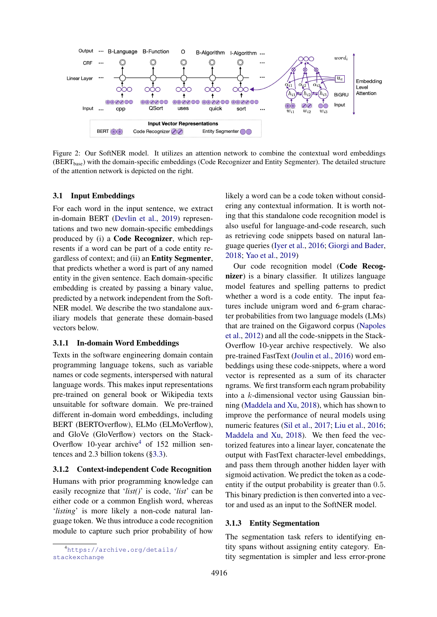<span id="page-3-2"></span>

Figure 2: Our SoftNER model. It utilizes an attention network to combine the contextual word embeddings (BERTbase) with the domain-specific embeddings (Code Recognizer and Entity Segmenter). The detailed structure of the attention network is depicted on the right.

#### <span id="page-3-0"></span>3.1 Input Embeddings

For each word in the input sentence, we extract in-domain BERT [\(Devlin et al.,](#page-9-2) [2019\)](#page-9-2) representations and two new domain-specific embeddings produced by (i) a Code Recognizer, which represents if a word can be part of a code entity regardless of context; and (ii) an Entity Segmenter, that predicts whether a word is part of any named entity in the given sentence. Each domain-specific embedding is created by passing a binary value, predicted by a network independent from the Soft-NER model. We describe the two standalone auxiliary models that generate these domain-based vectors below.

#### 3.1.1 In-domain Word Embeddings

Texts in the software engineering domain contain programming language tokens, such as variable names or code segments, interspersed with natural language words. This makes input representations pre-trained on general book or Wikipedia texts unsuitable for software domain. We pre-trained different in-domain word embeddings, including BERT (BERTOverflow), ELMo (ELMoVerflow), and GloVe (GloVerflow) vectors on the Stack-Overflow 10-year archive<sup>[4](#page-0-1)</sup> of 152 million sentences and 2.3 billion tokens ([§3.3\)](#page-4-0).

### <span id="page-3-3"></span>3.1.2 Context-independent Code Recognition

Humans with prior programming knowledge can easily recognize that '*list()*' is code, '*list*' can be either code or a common English word, whereas '*listing*' is more likely a non-code natural language token. We thus introduce a code recognition module to capture such prior probability of how

likely a word can be a code token without considering any contextual information. It is worth noting that this standalone code recognition model is also useful for language-and-code research, such as retrieving code snippets based on natural language queries [\(Iyer et al.,](#page-9-0) [2016;](#page-9-0) [Giorgi and Bader,](#page-9-7) [2018;](#page-9-7) [Yao et al.,](#page-11-1) [2019\)](#page-11-1)

Our code recognition model (Code Recognizer) is a binary classifier. It utilizes language model features and spelling patterns to predict whether a word is a code entity. The input features include unigram word and 6-gram character probabilities from two language models (LMs) that are trained on the Gigaword corpus [\(Napoles](#page-10-6) [et al.,](#page-10-6) [2012\)](#page-10-6) and all the code-snippets in the Stack-Overflow 10-year archive respectively. We also pre-trained FastText [\(Joulin et al.,](#page-9-8) [2016\)](#page-9-8) word embeddings using these code-snippets, where a word vector is represented as a sum of its character ngrams. We first transform each ngram probability into a k-dimensional vector using Gaussian binning [\(Maddela and Xu,](#page-10-7) [2018\)](#page-10-7), which has shown to improve the performance of neural models using numeric features [\(Sil et al.,](#page-10-8) [2017;](#page-10-8) [Liu et al.,](#page-10-9) [2016;](#page-10-9) [Maddela and Xu,](#page-10-7) [2018\)](#page-10-7). We then feed the vectorized features into a linear layer, concatenate the output with FastText character-level embeddings, and pass them through another hidden layer with sigmoid activation. We predict the token as a codeentity if the output probability is greater than 0.5. This binary prediction is then converted into a vector and used as an input to the SoftNER model.

#### <span id="page-3-1"></span>3.1.3 Entity Segmentation

The segmentation task refers to identifying entity spans without assigning entity category. Entity segmentation is simpler and less error-prone

<sup>4</sup>[https://archive.org/details/](https://archive.org/details/stackexchange) [stackexchange](https://archive.org/details/stackexchange)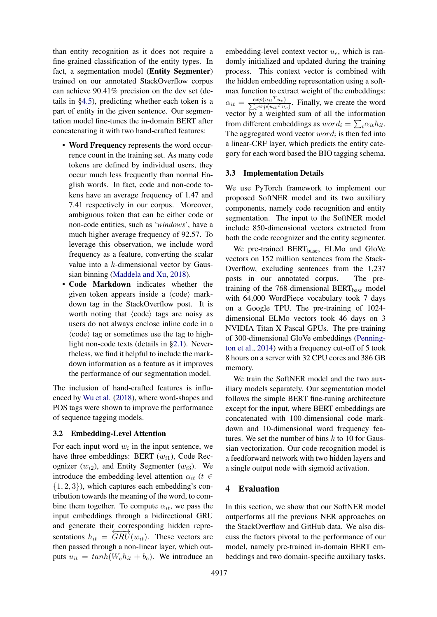than entity recognition as it does not require a fine-grained classification of the entity types. In fact, a segmentation model (Entity Segmenter) trained on our annotated StackOverflow corpus can achieve 90.41% precision on the dev set (details in [§4.5\)](#page-6-0), predicting whether each token is a part of entity in the given sentence. Our segmentation model fine-tunes the in-domain BERT after concatenating it with two hand-crafted features:

- Word Frequency represents the word occurrence count in the training set. As many code tokens are defined by individual users, they occur much less frequently than normal English words. In fact, code and non-code tokens have an average frequency of 1.47 and 7.41 respectively in our corpus. Moreover, ambiguous token that can be either code or non-code entities, such as '*windows*', have a much higher average frequency of 92.57. To leverage this observation, we include word frequency as a feature, converting the scalar value into a  $k$ -dimensional vector by Gaussian binning [\(Maddela and Xu,](#page-10-7) [2018\)](#page-10-7).
- Code Markdown indicates whether the given token appears inside a  $\langle \text{code} \rangle$  markdown tag in the StackOverflow post. It is worth noting that  $\langle \text{code} \rangle$  tags are noisy as users do not always enclose inline code in a  $\langle \text{code} \rangle$  tag or sometimes use the tag to highlight non-code texts (details in [§2.1\)](#page-1-2). Nevertheless, we find it helpful to include the markdown information as a feature as it improves the performance of our segmentation model.

The inclusion of hand-crafted features is influenced by [Wu et al.](#page-11-2) [\(2018\)](#page-11-2), where word-shapes and POS tags were shown to improve the performance of sequence tagging models.

#### <span id="page-4-2"></span>3.2 Embedding-Level Attention

For each input word  $w_i$  in the input sentence, we have three embeddings: BERT  $(w_{i1})$ , Code Recognizer  $(w_{i2})$ , and Entity Segmenter  $(w_{i3})$ . We introduce the embedding-level attention  $\alpha_{it}$  ( $t \in$  $\{1, 2, 3\}$ , which captures each embedding's contribution towards the meaning of the word, to combine them together. To compute  $\alpha_{it}$ , we pass the input embeddings through a bidirectional GRU and generate their corresponding hidden representations  $h_{it} = \overline{GRU}(w_{it})$ . These vectors are then passed through a non-linear layer, which outputs  $u_{it} = tanh(W_e h_{it} + b_e)$ . We introduce an

embedding-level context vector  $u_e$ , which is randomly initialized and updated during the training process. This context vector is combined with the hidden embedding representation using a softmax function to extract weight of the embeddings:  $\alpha_{it} = \frac{exp(u_{it}^T u_e)}{\sum_t exp(u_{it}^T u_e)}$ . Finally, we create the word vector by a weighted sum of all the information from different embeddings as  $word_i = \sum_{t} \alpha_{it} h_{it}$ . The aggregated word vector  $word_i$  is then fed into a linear-CRF layer, which predicts the entity category for each word based the BIO tagging schema.

#### <span id="page-4-0"></span>3.3 Implementation Details

We use PyTorch framework to implement our proposed SoftNER model and its two auxiliary components, namely code recognition and entity segmentation. The input to the SoftNER model include 850-dimensional vectors extracted from both the code recognizer and the entity segmenter.

We pre-trained BERT<sub>base</sub>, ELMo and GloVe vectors on 152 million sentences from the Stack-Overflow, excluding sentences from the 1,237 posts in our annotated corpus. The pretraining of the  $768$ -dimensional BERT<sub>base</sub> model with 64,000 WordPiece vocabulary took 7 days on a Google TPU. The pre-training of 1024 dimensional ELMo vectors took 46 days on 3 NVIDIA Titan X Pascal GPUs. The pre-training of 300-dimensional GloVe embeddings [\(Penning](#page-10-10)[ton et al.,](#page-10-10) [2014\)](#page-10-10) with a frequency cut-off of 5 took 8 hours on a server with 32 CPU cores and 386 GB memory.

We train the SoftNER model and the two auxiliary models separately. Our segmentation model follows the simple BERT fine-tuning architecture except for the input, where BERT embeddings are concatenated with 100-dimensional code markdown and 10-dimensional word frequency features. We set the number of bins  $k$  to 10 for Gaussian vectorization. Our code recognition model is a feedforward network with two hidden layers and a single output node with sigmoid activation.

### <span id="page-4-1"></span>4 Evaluation

In this section, we show that our SoftNER model outperforms all the previous NER approaches on the StackOverflow and GitHub data. We also discuss the factors pivotal to the performance of our model, namely pre-trained in-domain BERT embeddings and two domain-specific auxiliary tasks.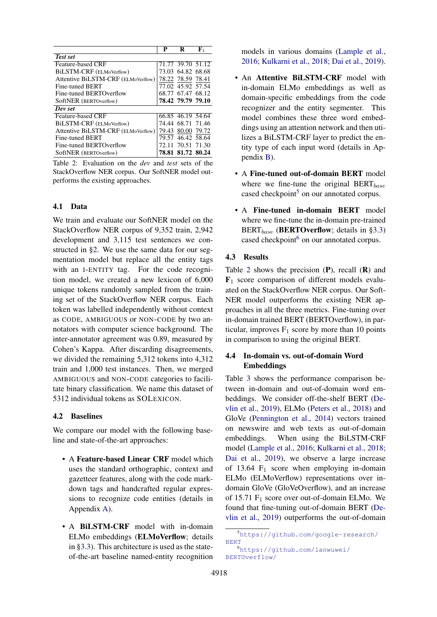<span id="page-5-0"></span>

|                                    | Р     | R                 | ${\bf F}_1$ |
|------------------------------------|-------|-------------------|-------------|
| <b>Test set</b>                    |       |                   |             |
| <b>Feature-based CRF</b>           |       | 71.77 39.70 51.12 |             |
| BiLSTM-CRF (ELMoVerflow)           |       | 73.03 64.82 68.68 |             |
| Attentive BiLSTM-CRF (ELMoVerflow) |       | 78.22 78.59 78.41 |             |
| Fine-tuned BERT                    |       | 77.02 45.92 57.54 |             |
| Fine-tuned BERTOverflow            |       | 68.77 67.47 68.12 |             |
| SoftNER (BERTOverflow)             |       | 78.42 79.79 79.10 |             |
| Dev set                            |       |                   |             |
| <b>Feature-based CRF</b>           |       | 66.85 46.19 54.64 |             |
| BILSTM-CRF (ELMoVerflow)           |       | 74.44 68.71 71.46 |             |
| Attentive BiLSTM-CRF (ELMoVerflow) |       | 79.43 80.00 79.72 |             |
| Fine-tuned BERT                    |       | 79.57 46.42 58.64 |             |
| Fine-tuned BERTOverflow            | 72.11 | 70.51 71.30       |             |
| SoftNER (BERTOverflow)             |       | 78.81 81.72 80.24 |             |

Table 2: Evaluation on the *dev* and *test* sets of the StackOverflow NER corpus. Our SoftNER model outperforms the existing approaches.

### <span id="page-5-1"></span>4.1 Data

We train and evaluate our SoftNER model on the StackOverflow NER corpus of 9,352 train, 2,942 development and 3,115 test sentences we constructed in [§2.](#page-1-0) We use the same data for our segmentation model but replace all the entity tags with an I-ENTITY tag. For the code recognition model, we created a new lexicon of 6,000 unique tokens randomly sampled from the training set of the StackOverflow NER corpus. Each token was labelled independently without context as CODE, AMBIGUOUS or NON-CODE by two annotators with computer science background. The inter-annotator agreement was 0.89, measured by Cohen's Kappa. After discarding disagreements, we divided the remaining 5,312 tokens into 4,312 train and 1,000 test instances. Then, we merged AMBIGUOUS and NON-CODE categories to facilitate binary classification. We name this dataset of 5312 individual tokens as SOLEXICON.

#### 4.2 Baselines

We compare our model with the following baseline and state-of-the-art approaches:

- A Feature-based Linear CRF model which uses the standard orthographic, context and gazetteer features, along with the code markdown tags and handcrafted regular expressions to recognize code entities (details in Appendix [A\)](#page-12-0).
- A BiLSTM-CRF model with in-domain ELMo embeddings (ELMoVerflow; details in [§3.3\)](#page-4-0). This architecture is used as the stateof-the-art baseline named-entity recognition

models in various domains [\(Lample et al.,](#page-9-9) [2016;](#page-9-9) [Kulkarni et al.,](#page-9-10) [2018;](#page-9-10) [Dai et al.,](#page-9-11) [2019\)](#page-9-11).

- An Attentive BiLSTM-CRF model with in-domain ELMo embeddings as well as domain-specific embeddings from the code recognizer and the entity segmenter. This model combines these three word embeddings using an attention network and then utilizes a BiLSTM-CRF layer to predict the entity type of each input word (details in Appendix [B\)](#page-12-1).
- A Fine-tuned out-of-domain BERT model where we fine-tune the original  $BERT_{base}$ cased checkpoint<sup>[5](#page-0-1)</sup> on our annotated corpus.
- A Fine-tuned in-domain BERT model where we fine-tune the in-domain pre-trained  $BERT_{base}$  (BERTOverflow; details in [§3.3\)](#page-4-0) cased checkpoint<sup>[6](#page-0-1)</sup> on our annotated corpus.

#### 4.3 Results

Table [2](#page-5-0) shows the precision  $(P)$ , recall  $(R)$  and  $\mathbf{F}_1$  score comparison of different models evaluated on the StackOverflow NER corpus. Our Soft-NER model outperforms the existing NER approaches in all the three metrics. Fine-tuning over in-domain trained BERT (BERTOverflow), in particular, improves  $F_1$  score by more than 10 points in comparison to using the original BERT.

## 4.4 In-domain vs. out-of-domain Word Embeddings

Table [3](#page-6-1) shows the performance comparison between in-domain and out-of-domain word embeddings. We consider off-the-shelf BERT [\(De](#page-9-2)[vlin et al.,](#page-9-2) [2019\)](#page-9-2), ELMo [\(Peters et al.,](#page-10-3) [2018\)](#page-10-3) and GloVe [\(Pennington et al.,](#page-10-10) [2014\)](#page-10-10) vectors trained on newswire and web texts as out-of-domain embeddings. When using the BiLSTM-CRF model [\(Lample et al.,](#page-9-9) [2016;](#page-9-9) [Kulkarni et al.,](#page-9-10) [2018;](#page-9-10) [Dai et al.,](#page-9-11) [2019\)](#page-9-11), we observe a large increase of 13.64  $F_1$  score when employing in-domain ELMo (ELMoVerflow) representations over indomain GloVe (GloVeOverflow), and an increase of 15.71  $F_1$  score over out-of-domain ELMo. We found that fine-tuning out-of-domain BERT [\(De](#page-9-2)[vlin et al.,](#page-9-2) [2019\)](#page-9-2) outperforms the out-of-domain

<sup>5</sup>[https://github.com/google-research/](https://github.com/google-research/BERT) [BERT](https://github.com/google-research/BERT)

<sup>6</sup>[https://github.com/lanwuwei/](https://github.com/lanwuwei/BERTOverflow/) [BERTOverflow/](https://github.com/lanwuwei/BERTOverflow/)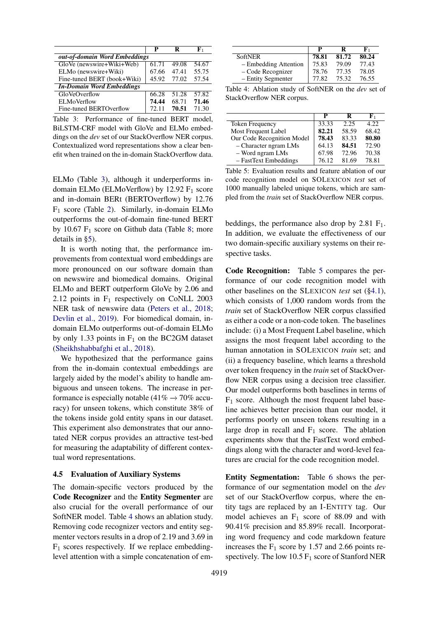<span id="page-6-1"></span>

|                                  | р     | R     | F1    |
|----------------------------------|-------|-------|-------|
| out-of-domain Word Embeddings    |       |       |       |
| GloVe (newswire+Wiki+Web)        | 61.71 | 49.08 | 54.67 |
| ELMo (newswire+Wiki)             | 67.66 | 47.41 | 55.75 |
| Fine-tuned BERT (book+Wiki)      | 45.92 | 77.02 | 57.54 |
| <b>In-Domain Word Embeddings</b> |       |       |       |
| GloVeOverflow                    | 66.28 | 51.28 | 57.82 |
| <b>ELMoVerflow</b>               | 74.44 | 68.71 | 71.46 |
| Fine-tuned BERTOverflow          | 72.11 | 70.51 | 71.30 |

Table 3: Performance of fine-tuned BERT model, BiLSTM-CRF model with GloVe and ELMo embeddings on the *dev* set of our StackOverflow NER corpus. Contextualized word representations show a clear benefit when trained on the in-domain StackOverflow data.

ELMo (Table [3\)](#page-6-1), although it underperforms indomain ELMo (ELMoVerflow) by  $12.92 \text{ F}_1$  score and in-domain BERt (BERTOverflow) by 12.76  $F_1$  score (Table [2\)](#page-5-0). Similarly, in-domain ELMo outperforms the out-of-domain fine-tuned BERT by 10.67  $F_1$  score on Github data (Table [8;](#page-7-0) more details in [§5\)](#page-7-1).

It is worth noting that, the performance improvements from contextual word embeddings are more pronounced on our software domain than on newswire and biomedical domains. Original ELMo and BERT outperform GloVe by 2.06 and 2.12 points in  $F_1$  respectively on CoNLL 2003 NER task of newswire data [\(Peters et al.,](#page-10-3) [2018;](#page-10-3) [Devlin et al.,](#page-9-2) [2019\)](#page-9-2). For biomedical domain, indomain ELMo outperforms out-of-domain ELMo by only 1.33 points in  $F_1$  on the BC2GM dataset [\(Sheikhshabbafghi et al.,](#page-10-11) [2018\)](#page-10-11).

We hypothesized that the performance gains from the in-domain contextual embeddings are largely aided by the model's ability to handle ambiguous and unseen tokens. The increase in performance is especially notable (41%  $\rightarrow$  70% accuracy) for unseen tokens, which constitute 38% of the tokens inside gold entity spans in our dataset. This experiment also demonstrates that our annotated NER corpus provides an attractive test-bed for measuring the adaptability of different contextual word representations.

#### <span id="page-6-0"></span>4.5 Evaluation of Auxiliary Systems

The domain-specific vectors produced by the Code Recognizer and the Entity Segmenter are also crucial for the overall performance of our SoftNER model. Table [4](#page-6-2) shows an ablation study. Removing code recognizer vectors and entity segmenter vectors results in a drop of 2.19 and 3.69 in  $F_1$  scores respectively. If we replace embeddinglevel attention with a simple concatenation of em-

<span id="page-6-2"></span>

|                       | р     | R     | F,    |
|-----------------------|-------|-------|-------|
| <b>SoftNER</b>        | 78.81 | 81.72 | 80.24 |
| - Embedding Attention | 75.83 | 79.09 | 77.43 |
| – Code Recognizer     | 78.76 | 77.35 | 78.05 |
| - Entity Segmenter    | 77.82 | 75.32 | 76.55 |

Table 4: Ablation study of SoftNER on the *dev* set of StackOverflow NER corpus.

<span id="page-6-3"></span>

|                            | P     | R     | F1    |
|----------------------------|-------|-------|-------|
| <b>Token Frequency</b>     | 33.33 | 2.25  | 4.22  |
| Most Frequent Label        | 82.21 | 58.59 | 68.42 |
| Our Code Recognition Model | 78.43 | 83.33 | 80.80 |
| $-$ Character ngram LMs    | 64.13 | 84.51 | 72.90 |
| - Word ngram LMs           | 67.98 | 72.96 | 70.38 |
| - FastText Embeddings      | 76.12 | 81.69 | 78.81 |

Table 5: Evaluation results and feature ablation of our code recognition model on SOLEXICON *test* set of 1000 manually labeled unique tokens, which are sampled from the *train* set of StackOverflow NER corpus.

beddings, the performance also drop by  $2.81 \text{ F}_1$ . In addition, we evaluate the effectiveness of our two domain-specific auxiliary systems on their respective tasks.

Code Recognition: Table [5](#page-6-3) compares the performance of our code recognition model with other baselines on the SLEXICON *test* set ([§4.1\)](#page-5-1), which consists of 1,000 random words from the *train* set of StackOverflow NER corpus classified as either a code or a non-code token. The baselines include: (i) a Most Frequent Label baseline, which assigns the most frequent label according to the human annotation in SOLEXICON *train* set; and (ii) a frequency baseline, which learns a threshold over token frequency in the *train* set of StackOverflow NER corpus using a decision tree classifier. Our model outperforms both baselines in terms of  $F_1$  score. Although the most frequent label baseline achieves better precision than our model, it performs poorly on unseen tokens resulting in a large drop in recall and  $F_1$  score. The ablation experiments show that the FastText word embeddings along with the character and word-level features are crucial for the code recognition model.

Entity Segmentation: Table [6](#page-7-2) shows the performance of our segmentation model on the *dev* set of our StackOverflow corpus, where the entity tags are replaced by an I-ENTITY tag. Our model achieves an  $F_1$  score of 88.09 and with 90.41% precision and 85.89% recall. Incorporating word frequency and code markdown feature increases the  $F_1$  score by 1.57 and 2.66 points respectively. The low 10.5  $F_1$  score of Stanford NER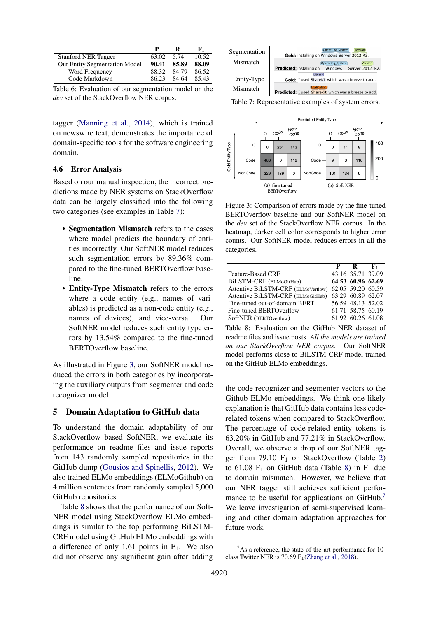<span id="page-7-2"></span>

|                                      |       |             | F,    |
|--------------------------------------|-------|-------------|-------|
| <b>Stanford NER Tagger</b>           | 63.02 | - 5.74      | 10.52 |
| <b>Our Entity Segmentation Model</b> | 90.41 | 85.89       | 88.09 |
| - Word Frequency                     | 88.32 | 84.79       | 86.52 |
| - Code Markdown                      | 86.23 | 84.64 85.43 |       |

Table 6: Evaluation of our segmentation model on the *dev* set of the StackOverflow NER corpus.

tagger [\(Manning et al.,](#page-10-5) [2014\)](#page-10-5), which is trained on newswire text, demonstrates the importance of domain-specific tools for the software engineering domain.

### 4.6 Error Analysis

Based on our manual inspection, the incorrect predictions made by NER systems on StackOverflow data can be largely classified into the following two categories (see examples in Table [7\)](#page-7-3):

- Segmentation Mismatch refers to the cases where model predicts the boundary of entities incorrectly. Our SoftNER model reduces such segmentation errors by 89.36% compared to the fine-tuned BERTOverflow baseline.
- Entity-Type Mismatch refers to the errors where a code entity (e.g., names of variables) is predicted as a non-code entity (e.g., names of devices), and vice-versa. Our SoftNER model reduces such entity type errors by 13.54% compared to the fine-tuned BERTOverflow baseline.

As illustrated in Figure [3,](#page-7-4) our SoftNER model reduced the errors in both categories by incorporating the auxiliary outputs from segmenter and code recognizer model.

## <span id="page-7-1"></span>5 Domain Adaptation to GitHub data

To understand the domain adaptability of our StackOverflow based SoftNER, we evaluate its performance on readme files and issue reports from 143 randomly sampled repositories in the GitHub dump [\(Gousios and Spinellis,](#page-9-4) [2012\)](#page-9-4). We also trained ELMo embeddings (ELMoGithub) on 4 million sentences from randomly sampled 5,000 GitHub repositories.

Table [8](#page-7-0) shows that the performance of our Soft-NER model using StackOverflow ELMo embeddings is similar to the top performing BiLSTM-CRF model using GitHub ELMo embeddings with a difference of only 1.61 points in  $F_1$ . We also did not observe any significant gain after adding

<span id="page-7-3"></span>

| Segmentation | Operating System<br>Version<br>Gold: installing on Windows Server 2012 R2.                   |
|--------------|----------------------------------------------------------------------------------------------|
| Mismatch     | Operating_System<br>Version<br><b>Predicted:</b> installing on<br>Windows<br>Server 2012 R2. |
| Entity-Type  | Library<br>Gold: I used ShareKit which was a breeze to add.                                  |
| Mismatch     | oplication<br>Predicted: I used ShareKit which was a breeze to add.                          |

Table 7: Representative examples of system errors.

<span id="page-7-4"></span>

Figure 3: Comparison of errors made by the fine-tuned BERTOverflow baseline and our SoftNER model on the *dev* set of the StackOverflow NER corpus. In the heatmap, darker cell color corresponds to higher error counts. Our SoftNER model reduces errors in all the categories.

<span id="page-7-0"></span>

|                                                      |                   | $\mathbf{R}$      | ${\bf F}_{1}$ |
|------------------------------------------------------|-------------------|-------------------|---------------|
| <b>Feature-Based CRF</b>                             | 43.16 35.71 39.09 |                   |               |
| BiLSTM-CRF (ELMoGitHub)                              |                   | 64.53 60.96 62.69 |               |
| Attentive BiLSTM-CRF (ELMoVerflow) 62.05 59.20 60.59 |                   |                   |               |
| Attentive BiLSTM-CRF (ELMoGitHub) 63.29 60.89 62.07  |                   |                   |               |
| Fine-tuned out-of-domain BERT                        |                   | 56.59 48.13 52.02 |               |
| Fine-tuned BERTOverflow                              |                   | 61.71 58.75 60.19 |               |
| SoftNER (BERTOverflow)                               |                   | 61.92 60.26 61.08 |               |

Table 8: Evaluation on the GitHub NER dataset of readme files and issue posts. *All the models are trained on our StackOverflow NER corpus.* Our SoftNER model performs close to BiLSTM-CRF model trained on the GitHub ELMo embeddings.

the code recognizer and segmenter vectors to the Github ELMo embeddings. We think one likely explanation is that GitHub data contains less coderelated tokens when compared to StackOverflow. The percentage of code-related entity tokens is 63.20% in GitHub and 77.21% in StackOverflow. Overall, we observe a drop of our SoftNER tagger from 79.10  $F_1$  on StackOverflow (Table [2\)](#page-5-0) to 61.08  $F_1$  on GitHub data (Table [8\)](#page-7-0) in  $F_1$  due to domain mismatch. However, we believe that our NER tagger still achieves sufficient perfor-mance to be useful for applications on GitHub.<sup>[7](#page-0-1)</sup> We leave investigation of semi-supervised learning and other domain adaptation approaches for future work.

 ${}^{7}$ As a reference, the state-of-the-art performance for 10class Twitter NER is 70.69  $F_1$ [\(Zhang et al.,](#page-11-3) [2018\)](#page-11-3).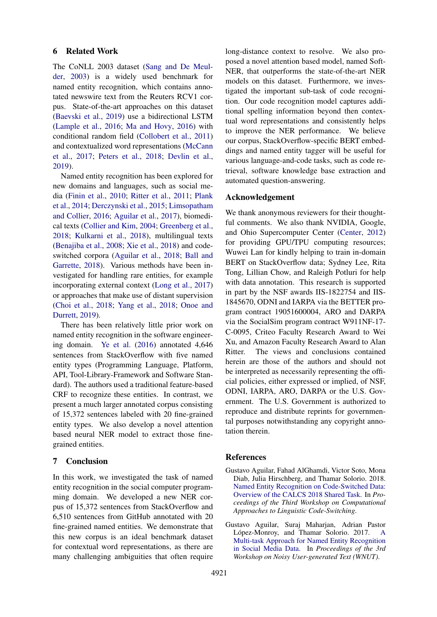### 6 Related Work

The CoNLL 2003 dataset [\(Sang and De Meul](#page-10-12)[der,](#page-10-12) [2003\)](#page-10-12) is a widely used benchmark for named entity recognition, which contains annotated newswire text from the Reuters RCV1 corpus. State-of-the-art approaches on this dataset [\(Baevski et al.,](#page-9-12) [2019\)](#page-9-12) use a bidirectional LSTM [\(Lample et al.,](#page-9-9) [2016;](#page-9-9) [Ma and Hovy,](#page-10-13) [2016\)](#page-10-13) with conditional random field [\(Collobert et al.,](#page-9-13) [2011\)](#page-9-13) and contextualized word representations [\(McCann](#page-10-14) [et al.,](#page-10-14) [2017;](#page-10-14) [Peters et al.,](#page-10-3) [2018;](#page-10-3) [Devlin et al.,](#page-9-2) [2019\)](#page-9-2).

Named entity recognition has been explored for new domains and languages, such as social media [\(Finin et al.,](#page-9-14) [2010;](#page-9-14) [Ritter et al.,](#page-10-15) [2011;](#page-10-15) [Plank](#page-10-16) [et al.,](#page-10-16) [2014;](#page-10-16) [Derczynski et al.,](#page-9-15) [2015;](#page-9-15) [Limsopatham](#page-10-17) [and Collier,](#page-10-17) [2016;](#page-10-17) [Aguilar et al.,](#page-8-0) [2017\)](#page-8-0), biomedical texts [\(Collier and Kim,](#page-9-16) [2004;](#page-9-16) [Greenberg et al.,](#page-9-17) [2018;](#page-9-17) [Kulkarni et al.,](#page-9-10) [2018\)](#page-9-10), multilingual texts [\(Benajiba et al.,](#page-9-18) [2008;](#page-9-18) [Xie et al.,](#page-11-4) [2018\)](#page-11-4) and codeswitched corpora [\(Aguilar et al.,](#page-8-1) [2018;](#page-8-1) [Ball and](#page-9-19) [Garrette,](#page-9-19) [2018\)](#page-9-19). Various methods have been investigated for handling rare entities, for example incorporating external context [\(Long et al.,](#page-10-18) [2017\)](#page-10-18) or approaches that make use of distant supervision [\(Choi et al.,](#page-9-20) [2018;](#page-9-20) [Yang et al.,](#page-11-5) [2018;](#page-11-5) [Onoe and](#page-10-19) [Durrett,](#page-10-19) [2019\)](#page-10-19).

There has been relatively little prior work on named entity recognition in the software engineering domain. [Ye et al.](#page-11-6) [\(2016\)](#page-11-6) annotated 4,646 sentences from StackOverflow with five named entity types (Programming Language, Platform, API, Tool-Library-Framework and Software Standard). The authors used a traditional feature-based CRF to recognize these entities. In contrast, we present a much larger annotated corpus consisting of 15,372 sentences labeled with 20 fine-grained entity types. We also develop a novel attention based neural NER model to extract those finegrained entities.

## 7 Conclusion

In this work, we investigated the task of named entity recognition in the social computer programming domain. We developed a new NER corpus of 15,372 sentences from StackOverflow and 6,510 sentences from GitHub annotated with 20 fine-grained named entities. We demonstrate that this new corpus is an ideal benchmark dataset for contextual word representations, as there are many challenging ambiguities that often require

long-distance context to resolve. We also proposed a novel attention based model, named Soft-NER, that outperforms the state-of-the-art NER models on this dataset. Furthermore, we investigated the important sub-task of code recognition. Our code recognition model captures additional spelling information beyond then contextual word representations and consistently helps to improve the NER performance. We believe our corpus, StackOverflow-specific BERT embeddings and named entity tagger will be useful for various language-and-code tasks, such as code retrieval, software knowledge base extraction and automated question-answering.

### Acknowledgement

We thank anonymous reviewers for their thoughtful comments. We also thank NVIDIA, Google, and Ohio Supercomputer Center [\(Center,](#page-9-21) [2012\)](#page-9-21) for providing GPU/TPU computing resources; Wuwei Lan for kindly helping to train in-domain BERT on StackOverflow data; Sydney Lee, Rita Tong, Lillian Chow, and Raleigh Potluri for help with data annotation. This research is supported in part by the NSF awards IIS-1822754 and IIS-1845670, ODNI and IARPA via the BETTER program contract 19051600004, ARO and DARPA via the SocialSim program contract W911NF-17- C-0095, Criteo Faculty Research Award to Wei Xu, and Amazon Faculty Research Award to Alan Ritter. The views and conclusions contained herein are those of the authors and should not be interpreted as necessarily representing the official policies, either expressed or implied, of NSF, ODNI, IARPA, ARO, DARPA or the U.S. Government. The U.S. Government is authorized to reproduce and distribute reprints for governmental purposes notwithstanding any copyright annotation therein.

### References

- <span id="page-8-1"></span>Gustavo Aguilar, Fahad AlGhamdi, Victor Soto, Mona Diab, Julia Hirschberg, and Thamar Solorio. 2018. [Named Entity Recognition on Code-Switched Data:](https://www.aclweb.org/anthology/W18-3219) [Overview of the CALCS 2018 Shared Task.](https://www.aclweb.org/anthology/W18-3219) In *Proceedings of the Third Workshop on Computational Approaches to Linguistic Code-Switching*.
- <span id="page-8-0"></span>Gustavo Aguilar, Suraj Maharjan, Adrian Pastor López-Monroy, and Thamar Solorio. 2017. [A](https://www.aclweb.org/anthology/W17-4419) [Multi-task Approach for Named Entity Recognition](https://www.aclweb.org/anthology/W17-4419) [in Social Media Data.](https://www.aclweb.org/anthology/W17-4419) In *Proceedings of the 3rd Workshop on Noisy User-generated Text (WNUT)*.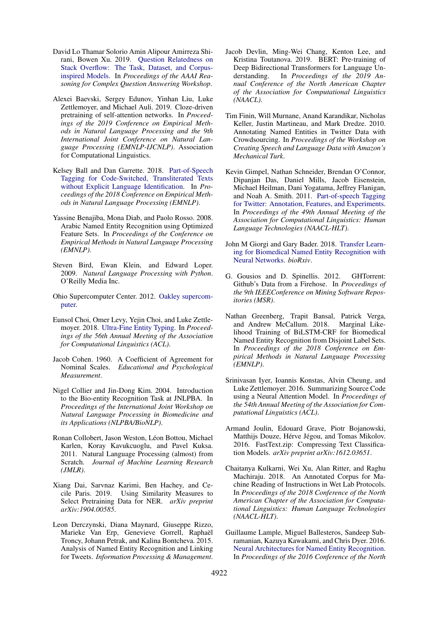- <span id="page-9-1"></span>David Lo Thamar Solorio Amin Alipour Amirreza Shirani, Bowen Xu. 2019. [Question Relatedness on](https://arxiv.org/pdf/1905.01966.pdf) [Stack Overflow: The Task, Dataset, and Corpus](https://arxiv.org/pdf/1905.01966.pdf)[inspired Models.](https://arxiv.org/pdf/1905.01966.pdf) In *Proceedings of the AAAI Reasoning for Complex Question Answering Workshop*.
- <span id="page-9-12"></span>Alexei Baevski, Sergey Edunov, Yinhan Liu, Luke Zettlemoyer, and Michael Auli. 2019. Cloze-driven pretraining of self-attention networks. In *Proceedings of the 2019 Conference on Empirical Methods in Natural Language Processing and the 9th International Joint Conference on Natural Language Processing (EMNLP-IJCNLP)*. Association for Computational Linguistics.
- <span id="page-9-19"></span>Kelsey Ball and Dan Garrette. 2018. [Part-of-Speech](https://www.aclweb.org/anthology/D18-1347) [Tagging for Code-Switched, Transliterated Texts](https://www.aclweb.org/anthology/D18-1347) [without Explicit Language Identification.](https://www.aclweb.org/anthology/D18-1347) In *Proceedings of the 2018 Conference on Empirical Methods in Natural Language Processing (EMNLP)*.
- <span id="page-9-18"></span>Yassine Benajiba, Mona Diab, and Paolo Rosso. 2008. Arabic Named Entity Recognition using Optimized Feature Sets. In *Proceedings of the Conference on Empirical Methods in Natural Language Processing (EMNLP)*.
- <span id="page-9-6"></span>Steven Bird, Ewan Klein, and Edward Loper. 2009. *Natural Language Processing with Python*. O'Reilly Media Inc.
- <span id="page-9-21"></span>Ohio Supercomputer Center. 2012. [Oakley supercom](http://osc.edu/ark:/19495/hpc0cvqn)[puter.](http://osc.edu/ark:/19495/hpc0cvqn)
- <span id="page-9-20"></span>Eunsol Choi, Omer Levy, Yejin Choi, and Luke Zettlemoyer. 2018. [Ultra-Fine Entity Typing.](https://www.aclweb.org/anthology/P18-1009) In *Proceedings of the 56th Annual Meeting of the Association for Computational Linguistics (ACL)*.
- <span id="page-9-3"></span>Jacob Cohen. 1960. A Coefficient of Agreement for Nominal Scales. *Educational and Psychological Measurement*.
- <span id="page-9-16"></span>Nigel Collier and Jin-Dong Kim. 2004. Introduction to the Bio-entity Recognition Task at JNLPBA. In *Proceedings of the International Joint Workshop on Natural Language Processing in Biomedicine and its Applications (NLPBA/BioNLP)*.
- <span id="page-9-13"></span>Ronan Collobert, Jason Weston, Léon Bottou, Michael Karlen, Koray Kavukcuoglu, and Pavel Kuksa. 2011. Natural Language Processing (almost) from Scratch. *Journal of Machine Learning Research (JMLR)*.
- <span id="page-9-11"></span>Xiang Dai, Sarvnaz Karimi, Ben Hachey, and Cecile Paris. 2019. Using Similarity Measures to Select Pretraining Data for NER. *arXiv preprint arXiv:1904.00585*.
- <span id="page-9-15"></span>Leon Derczynski, Diana Maynard, Giuseppe Rizzo, Marieke Van Erp, Genevieve Gorrell, Raphaël Troncy, Johann Petrak, and Kalina Bontcheva. 2015. Analysis of Named Entity Recognition and Linking for Tweets. *Information Processing & Management*.
- <span id="page-9-2"></span>Jacob Devlin, Ming-Wei Chang, Kenton Lee, and Kristina Toutanova. 2019. BERT: Pre-training of Deep Bidirectional Transformers for Language Understanding. In *Proceedings of the 2019 Annual Conference of the North American Chapter of the Association for Computational Linguistics (NAACL)*.
- <span id="page-9-14"></span>Tim Finin, Will Murnane, Anand Karandikar, Nicholas Keller, Justin Martineau, and Mark Dredze. 2010. Annotating Named Entities in Twitter Data with Crowdsourcing. In *Proceedings of the Workshop on Creating Speech and Language Data with Amazon's Mechanical Turk*.
- <span id="page-9-5"></span>Kevin Gimpel, Nathan Schneider, Brendan O'Connor, Dipanjan Das, Daniel Mills, Jacob Eisenstein, Michael Heilman, Dani Yogatama, Jeffrey Flanigan, and Noah A. Smith. 2011. [Part-of-speech Tagging](http://dl.acm.org/citation.cfm?id=2002736.2002747) [for Twitter: Annotation, Features, and Experiments.](http://dl.acm.org/citation.cfm?id=2002736.2002747) In *Proceedings of the 49th Annual Meeting of the Association for Computational Linguistics: Human Language Technologies (NAACL-HLT)*.
- <span id="page-9-7"></span>John M Giorgi and Gary Bader. 2018. [Transfer Learn](https://www.biorxiv.org/content/early/2018/02/12/262790)[ing for Biomedical Named Entity Recognition with](https://www.biorxiv.org/content/early/2018/02/12/262790) [Neural Networks.](https://www.biorxiv.org/content/early/2018/02/12/262790) *bioRxiv*.
- <span id="page-9-4"></span>G. Gousios and D. Spinellis. 2012. GHTorrent: Github's Data from a Firehose. In *Proceedings of the 9th IEEEConference on Mining Software Repositories (MSR)*.
- <span id="page-9-17"></span>Nathan Greenberg, Trapit Bansal, Patrick Verga, and Andrew McCallum. 2018. Marginal Likelihood Training of BiLSTM-CRF for Biomedical Named Entity Recognition from Disjoint Label Sets. In *Proceedings of the 2018 Conference on Empirical Methods in Natural Language Processing (EMNLP)*.
- <span id="page-9-0"></span>Srinivasan Iyer, Ioannis Konstas, Alvin Cheung, and Luke Zettlemoyer. 2016. Summarizing Source Code using a Neural Attention Model. In *Proceedings of the 54th Annual Meeting of the Association for Computational Linguistics (ACL)*.
- <span id="page-9-8"></span>Armand Joulin, Edouard Grave, Piotr Bojanowski, Matthijs Douze, Hérve Jégou, and Tomas Mikolov. 2016. FastText.zip: Compressing Text Classification Models. *arXiv preprint arXiv:1612.03651*.
- <span id="page-9-10"></span>Chaitanya Kulkarni, Wei Xu, Alan Ritter, and Raghu Machiraju. 2018. An Annotated Corpus for Machine Reading of Instructions in Wet Lab Protocols. In *Proceedings of the 2018 Conference of the North American Chapter of the Association for Computational Linguistics: Human Language Technologies (NAACL-HLT)*.
- <span id="page-9-9"></span>Guillaume Lample, Miguel Ballesteros, Sandeep Subramanian, Kazuya Kawakami, and Chris Dyer. 2016. [Neural Architectures for Named Entity Recognition.](http://www.aclweb.org/anthology/N16-1030) In *Proceedings of the 2016 Conference of the North*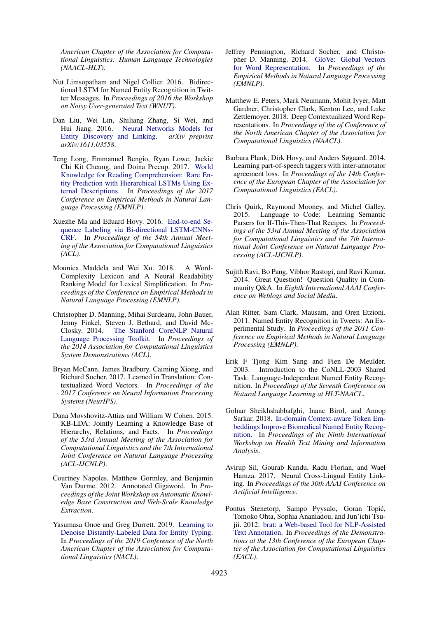*American Chapter of the Association for Computational Linguistics: Human Language Technologies (NAACL-HLT)*.

- <span id="page-10-17"></span>Nut Limsopatham and Nigel Collier. 2016. Bidirectional LSTM for Named Entity Recognition in Twitter Messages. In *Proceedings of 2016 the Workshop on Noisy User-generated Text (WNUT)*.
- <span id="page-10-9"></span>Dan Liu, Wei Lin, Shiliang Zhang, Si Wei, and Hui Jiang. 2016. [Neural Networks Models for](http://arxiv.org/abs/1611.03558) [Entity Discovery and Linking.](http://arxiv.org/abs/1611.03558) *arXiv preprint arXiv:1611.03558*.
- <span id="page-10-18"></span>Teng Long, Emmanuel Bengio, Ryan Lowe, Jackie Chi Kit Cheung, and Doina Precup. 2017. [World](https://www.aclweb.org/anthology/D17-1086) [Knowledge for Reading Comprehension: Rare En](https://www.aclweb.org/anthology/D17-1086)[tity Prediction with Hierarchical LSTMs Using Ex](https://www.aclweb.org/anthology/D17-1086)[ternal Descriptions.](https://www.aclweb.org/anthology/D17-1086) In *Proceedings of the 2017 Conference on Empirical Methods in Natural Language Processing (EMNLP)*.
- <span id="page-10-13"></span>Xuezhe Ma and Eduard Hovy. 2016. [End-to-end Se](https://www.aclweb.org/anthology/P16-1101)[quence Labeling via Bi-directional LSTM-CNNs-](https://www.aclweb.org/anthology/P16-1101)[CRF.](https://www.aclweb.org/anthology/P16-1101) In *Proceedings of the 54th Annual Meeting of the Association for Computational Linguistics (ACL)*.
- <span id="page-10-7"></span>Mounica Maddela and Wei Xu. 2018. A Word-Complexity Lexicon and A Neural Readability Ranking Model for Lexical Simplification. In *Proceedings of the Conference on Empirical Methods in Natural Language Processing (EMNLP)*.
- <span id="page-10-5"></span>Christopher D. Manning, Mihai Surdeanu, John Bauer, Jenny Finkel, Steven J. Bethard, and David Mc-Closky. 2014. [The Stanford CoreNLP Natural](http://www.aclweb.org/anthology/P/P14/P14-5010) [Language Processing Toolkit.](http://www.aclweb.org/anthology/P/P14/P14-5010) In *Proceedings of the 2014 Association for Computational Linguistics System Demonstrations (ACL)*.
- <span id="page-10-14"></span>Bryan McCann, James Bradbury, Caiming Xiong, and Richard Socher. 2017. Learned in Translation: Contextualized Word Vectors. In *Proceedings of the 2017 Conference on Neural Information Processing Systems (NeurIPS)*.
- <span id="page-10-1"></span>Dana Movshovitz-Attias and William W Cohen. 2015. KB-LDA: Jointly Learning a Knowledge Base of Hierarchy, Relations, and Facts. In *Proceedings of the 53rd Annual Meeting of the Association for Computational Linguistics and the 7th International Joint Conference on Natural Language Processing (ACL-IJCNLP)*.
- <span id="page-10-6"></span>Courtney Napoles, Matthew Gormley, and Benjamin Van Durme. 2012. Annotated Gigaword. In *Proceedings of the Joint Workshop on Automatic Knowledge Base Construction and Web-Scale Knowledge Extraction*.
- <span id="page-10-19"></span>Yasumasa Onoe and Greg Durrett. 2019. [Learning to](http://dx.doi.org/10.18653/v1/n19-1250) [Denoise Distantly-Labeled Data for Entity Typing.](http://dx.doi.org/10.18653/v1/n19-1250) In *Proceedings of the 2019 Conference of the North American Chapter of the Association for Computational Linguistics (NACL)*.
- <span id="page-10-10"></span>Jeffrey Pennington, Richard Socher, and Christopher D. Manning. 2014. [GloVe: Global Vectors](http://www.aclweb.org/anthology/D14-1162) [for Word Representation.](http://www.aclweb.org/anthology/D14-1162) In *Proceedings of the Empirical Methods in Natural Language Processing (EMNLP)*.
- <span id="page-10-3"></span>Matthew E. Peters, Mark Neumann, Mohit Iyyer, Matt Gardner, Christopher Clark, Kenton Lee, and Luke Zettlemoyer. 2018. Deep Contextualized Word Representations. In *Proceedings of the of Conference of the North American Chapter of the Association for Computational Linguistics (NAACL)*.
- <span id="page-10-16"></span>Barbara Plank, Dirk Hovy, and Anders Søgaard. 2014. Learning part-of-speech taggers with inter-annotator agreement loss. In *Proceedings of the 14th Conference of the European Chapter of the Association for Computational Linguistics (EACL)*.
- <span id="page-10-0"></span>Chris Quirk, Raymond Mooney, and Michel Galley. 2015. Language to Code: Learning Semantic Parsers for If-This-Then-That Recipes. In *Proceedings of the 53rd Annual Meeting of the Association for Computational Linguistics and the 7th International Joint Conference on Natural Language Processing (ACL-IJCNLP)*.
- <span id="page-10-2"></span>Sujith Ravi, Bo Pang, Vibhor Rastogi, and Ravi Kumar. 2014. Great Question! Question Quality in Community Q&A. In *Eighth International AAAI Conference on Weblogs and Social Media*.
- <span id="page-10-15"></span>Alan Ritter, Sam Clark, Mausam, and Oren Etzioni. 2011. Named Entity Recognition in Tweets: An Experimental Study. In *Proceedings of the 2011 Conference on Empirical Methods in Natural Language Processing (EMNLP)*.
- <span id="page-10-12"></span>Erik F Tjong Kim Sang and Fien De Meulder. 2003. Introduction to the CoNLL-2003 Shared Task: Language-Independent Named Entity Recognition. In *Proceedings of the Seventh Conference on Natural Language Learning at HLT-NAACL*.
- <span id="page-10-11"></span>Golnar Sheikhshabbafghi, Inanc Birol, and Anoop Sarkar. 2018. [In-domain Context-aware Token Em](https://www.aclweb.org/anthology/W18-5618)[beddings Improve Biomedical Named Entity Recog](https://www.aclweb.org/anthology/W18-5618)[nition.](https://www.aclweb.org/anthology/W18-5618) In *Proceedings of the Ninth International Workshop on Health Text Mining and Information Analysis*.
- <span id="page-10-8"></span>Avirup Sil, Gourab Kundu, Radu Florian, and Wael Hamza. 2017. Neural Cross-Lingual Entity Linking. In *Proceedings of the 30th AAAI Conference on Artificial Intelligence*.
- <span id="page-10-4"></span>Pontus Stenetorp, Sampo Pyysalo, Goran Topic,´ Tomoko Ohta, Sophia Ananiadou, and Jun'ichi Tsujii. 2012. [brat: a Web-based Tool for NLP-Assisted](http://www.aclweb.org/anthology/E12-2021) [Text Annotation.](http://www.aclweb.org/anthology/E12-2021) In *Proceedings of the Demonstrations at the 13th Conference of the European Chapter of the Association for Computational Linguistics (EACL)*.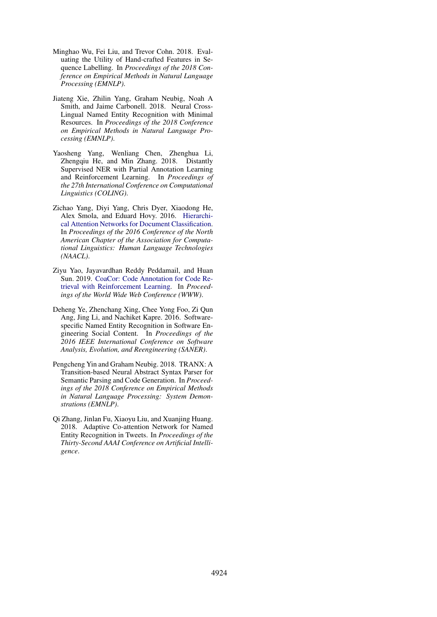- <span id="page-11-2"></span>Minghao Wu, Fei Liu, and Trevor Cohn. 2018. Evaluating the Utility of Hand-crafted Features in Sequence Labelling. In *Proceedings of the 2018 Conference on Empirical Methods in Natural Language Processing (EMNLP)*.
- <span id="page-11-4"></span>Jiateng Xie, Zhilin Yang, Graham Neubig, Noah A Smith, and Jaime Carbonell. 2018. Neural Cross-Lingual Named Entity Recognition with Minimal Resources. In *Proceedings of the 2018 Conference on Empirical Methods in Natural Language Processing (EMNLP)*.
- <span id="page-11-5"></span>Yaosheng Yang, Wenliang Chen, Zhenghua Li, Zhengqiu He, and Min Zhang. 2018. Distantly Supervised NER with Partial Annotation Learning and Reinforcement Learning. In *Proceedings of the 27th International Conference on Computational Linguistics (COLING)*.
- <span id="page-11-7"></span>Zichao Yang, Diyi Yang, Chris Dyer, Xiaodong He, Alex Smola, and Eduard Hovy. 2016. [Hierarchi](https://www.aclweb.org/anthology/N16-1174)[cal Attention Networks for Document Classification.](https://www.aclweb.org/anthology/N16-1174) In *Proceedings of the 2016 Conference of the North American Chapter of the Association for Computational Linguistics: Human Language Technologies (NAACL)*.
- <span id="page-11-1"></span>Ziyu Yao, Jayavardhan Reddy Peddamail, and Huan Sun. 2019. [CoaCor: Code Annotation for Code Re](http://doi.acm.org/10.1145/3308558.3313632)[trieval with Reinforcement Learning.](http://doi.acm.org/10.1145/3308558.3313632) In *Proceedings of the World Wide Web Conference (WWW)*.
- <span id="page-11-6"></span>Deheng Ye, Zhenchang Xing, Chee Yong Foo, Zi Qun Ang, Jing Li, and Nachiket Kapre. 2016. Softwarespecific Named Entity Recognition in Software Engineering Social Content. In *Proceedings of the 2016 IEEE International Conference on Software Analysis, Evolution, and Reengineering (SANER)*.
- <span id="page-11-0"></span>Pengcheng Yin and Graham Neubig. 2018. TRANX: A Transition-based Neural Abstract Syntax Parser for Semantic Parsing and Code Generation. In *Proceedings of the 2018 Conference on Empirical Methods in Natural Language Processing: System Demonstrations (EMNLP)*.
- <span id="page-11-3"></span>Qi Zhang, Jinlan Fu, Xiaoyu Liu, and Xuanjing Huang. 2018. Adaptive Co-attention Network for Named Entity Recognition in Tweets. In *Proceedings of the Thirty-Second AAAI Conference on Artificial Intelligence*.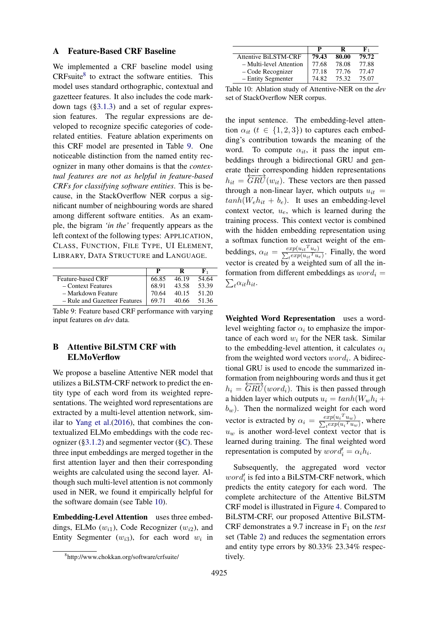### <span id="page-12-0"></span>A Feature-Based CRF Baseline

We implemented a CRF baseline model using CRFsuite<sup>[8](#page-0-1)</sup> to extract the software entities. This model uses standard orthographic, contextual and gazetteer features. It also includes the code markdown tags ([§3.1.3\)](#page-3-1) and a set of regular expression features. The regular expressions are developed to recognize specific categories of coderelated entities. Feature ablation experiments on this CRF model are presented in Table [9.](#page-12-2) One noticeable distinction from the named entity recognizer in many other domains is that the *contextual features are not as helpful in feature-based CRFs for classifying software entities*. This is because, in the StackOverflow NER corpus a significant number of neighbouring words are shared among different software entities. As an example, the bigram *'in the'* frequently appears as the left context of the following types: APPLICATION, CLASS, FUNCTION, FILE TYPE, UI ELEMENT, LIBRARY, DATA STRUCTURE and LANGUAGE.

<span id="page-12-2"></span>

|                               |       |       | к,     |
|-------------------------------|-------|-------|--------|
| Feature-based CRF             | 66.85 | 46.19 | 54.64  |
| - Context Features            | 68.91 | 43.58 | 53.39  |
| – Markdown Feature            | 70.64 | 40.15 | 51.20  |
| - Rule and Gazetteer Features | 69.71 | 40.66 | -51.36 |

Table 9: Feature based CRF performance with varying input features on *dev* data.

## <span id="page-12-1"></span>B Attentive BiLSTM CRF with ELMoVerflow

We propose a baseline Attentive NER model that utilizes a BiLSTM-CRF network to predict the entity type of each word from its weighted representations. The weighted word representations are extracted by a multi-level attention network, similar to [Yang et al.\(2016\)](#page-11-7), that combines the contextualized ELMo embeddings with the code recognizer  $(\S3.1.2)$  and segmenter vector  $(\S\mathbb{C})$ . These three input embeddings are merged together in the first attention layer and then their corresponding weights are calculated using the second layer. Although such multi-level attention is not commonly used in NER, we found it empirically helpful for the software domain (see Table [10\)](#page-12-3).

Embedding-Level Attention uses three embeddings, ELMo  $(w_{i1})$ , Code Recognizer  $(w_{i2})$ , and Entity Segmenter  $(w_{i3})$ , for each word  $w_i$  in

<span id="page-12-3"></span>

|                             | р     | R     | к.    |
|-----------------------------|-------|-------|-------|
| <b>Attentive BiLSTM-CRF</b> | 79.43 | 80.00 | 79.72 |
| - Multi-level Attention     | 77.68 | 78.08 | 77.88 |
| – Code Recognizer           | 77.18 | 77.76 | 77.47 |
| - Entity Segmenter          | 74.82 | 75.32 | 75.07 |

Table 10: Ablation study of Attentive-NER on the *dev* set of StackOverflow NER corpus.

the input sentence. The embedding-level attention  $\alpha_{it}$  ( $t \in \{1, 2, 3\}$ ) to captures each embedding's contribution towards the meaning of the word. To compute  $\alpha_{it}$ , it pass the input embeddings through a bidirectional GRU and generate their corresponding hidden representations  $h_{it} = \overleftrightarrow{GRU}(w_{it})$ . These vectors are then passed through a non-linear layer, which outputs  $u_{it}$  =  $tanh(W_e h_{it} + b_e)$ . It uses an embedding-level context vector,  $u_e$ , which is learned during the training process. This context vector is combined with the hidden embedding representation using a softmax function to extract weight of the embeddings,  $\alpha_{it} = \frac{exp(u_{it}^T u_e)}{\sum_t exp(u_{it}^T u_e)}$ . Finally, the word vector is created by a weighted sum of all the information from different embeddings as  $word_i =$  $\sum_{t} \alpha_{it} h_{it}$ .

Weighted Word Representation uses a wordlevel weighting factor  $\alpha_i$  to emphasize the importance of each word  $w_i$  for the NER task. Similar to the embedding-level attention, it calculates  $\alpha_i$ from the weighted word vectors  $word_i$ . A bidirectional GRU is used to encode the summarized information from neighbouring words and thus it get  $h_i = \overleftarrow{GRU}(word_i)$ . This is then passed through a hidden layer which outputs  $u_i = tanh(W_w h_i +$  $b_w$ ). Then the normalized weight for each word vector is extracted by  $\alpha_i = \frac{exp(u_i^T u_w)}{\sum_t exp(u_i^T u_w)}$ , where  $u_w$  is another word-level context vector that is learned during training. The final weighted word representation is computed by  $word'_i = \alpha_i h_i$ .

Subsequently, the aggregated word vector  $word'_{i}$  is fed into a BiLSTM-CRF network, which predicts the entity category for each word. The complete architecture of the Attentive BiLSTM CRF model is illustrated in Figure [4.](#page-13-1) Compared to BiLSTM-CRF, our proposed Attentive BiLSTM-CRF demonstrates a 9.7 increase in  $F_1$  on the *test* set (Table [2\)](#page-5-0) and reduces the segmentation errors and entity type errors by 80.33% 23.34% respectively.

<sup>8</sup> http://www.chokkan.org/software/crfsuite/